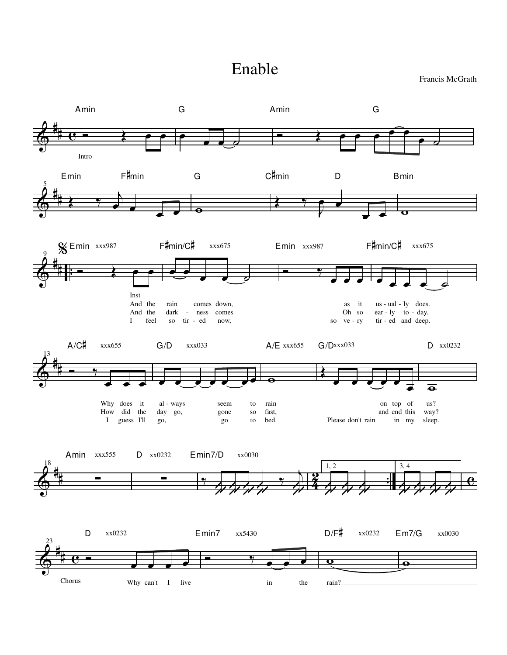## Enable

Francis McGrath